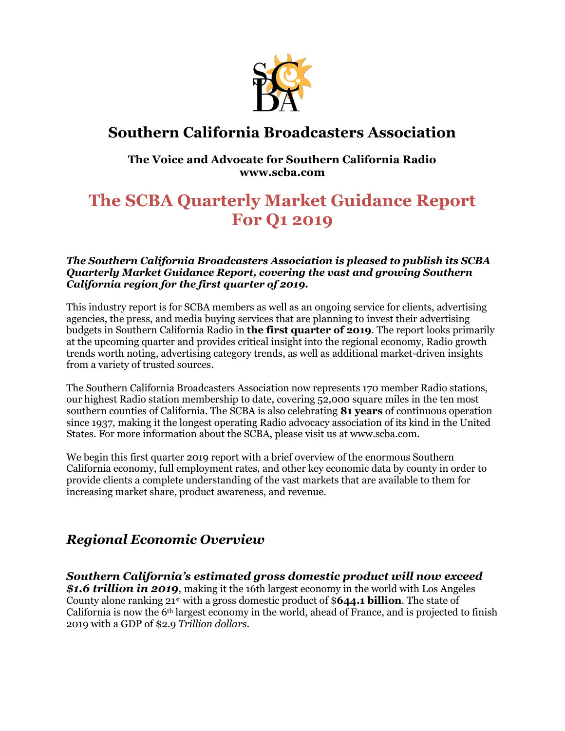

# **Southern California Broadcasters Association**

# **The Voice and Advocate for Southern California Radio www.scba.com**

# **The SCBA Quarterly Market Guidance Report For Q1 2019**

#### *The Southern California Broadcasters Association is pleased to publish its SCBA Quarterly Market Guidance Report, covering the vast and growing Southern California region for the first quarter of 2019.*

This industry report is for SCBA members as well as an ongoing service for clients, advertising agencies, the press, and media buying services that are planning to invest their advertising budgets in Southern California Radio in **the first quarter of 2019**. The report looks primarily at the upcoming quarter and provides critical insight into the regional economy, Radio growth trends worth noting, advertising category trends, as well as additional market-driven insights from a variety of trusted sources.

The Southern California Broadcasters Association now represents 170 member Radio stations, our highest Radio station membership to date, covering 52,000 square miles in the ten most southern counties of California. The SCBA is also celebrating **81 years** of continuous operation since 1937, making it the longest operating Radio advocacy association of its kind in the United States. For more information about the SCBA, please visit us at www.scba.com.

We begin this first quarter 2019 report with a brief overview of the enormous Southern California economy, full employment rates, and other key economic data by county in order to provide clients a complete understanding of the vast markets that are available to them for increasing market share, product awareness, and revenue.

# *Regional Economic Overview*

*Southern California's estimated gross domestic product will now exceed \$1.6 trillion in 2019*, making it the 16th largest economy in the world with Los Angeles County alone ranking 21st with a gross domestic product of \$**644.1 billion**. The state of California is now the  $6<sup>th</sup>$  largest economy in the world, ahead of France, and is projected to finish 2019 with a GDP of \$2.9 *Trillion dollars.*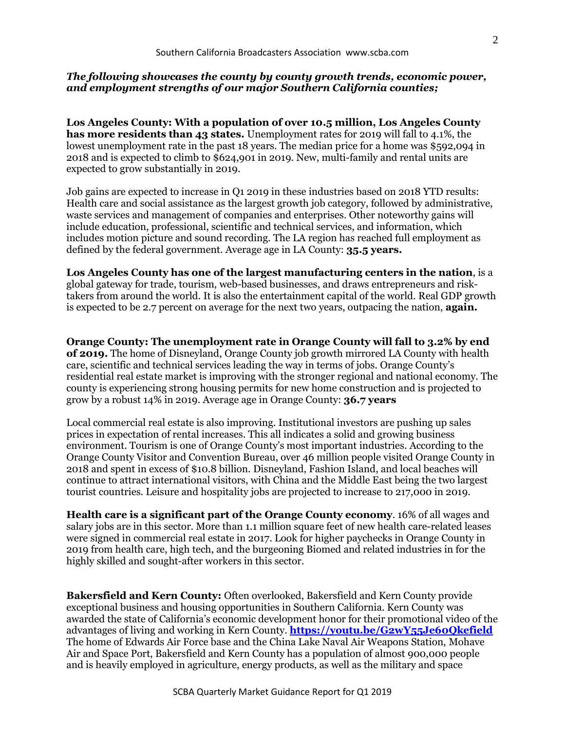#### *The following showcases the county by county growth trends, economic power, and employment strengths of our major Southern California counties;*

**Los Angeles County: With a population of over 10.5 million, Los Angeles County has more residents than 43 states.** Unemployment rates for 2019 will fall to 4.1%, the lowest unemployment rate in the past 18 years. The median price for a home was \$592,094 in 2018 and is expected to climb to \$624,901 in 2019. New, multi-family and rental units are expected to grow substantially in 2019.

Job gains are expected to increase in Q1 2019 in these industries based on 2018 YTD results: Health care and social assistance as the largest growth job category, followed by administrative, waste services and management of companies and enterprises. Other noteworthy gains will include education, professional, scientific and technical services, and information, which includes motion picture and sound recording. The LA region has reached full employment as defined by the federal government. Average age in LA County: **35.5 years.**

**Los Angeles County has one of the largest manufacturing centers in the nation**, is a global gateway for trade, tourism, web-based businesses, and draws entrepreneurs and risktakers from around the world. It is also the entertainment capital of the world. Real GDP growth is expected to be 2.7 percent on average for the next two years, outpacing the nation, **again.**

**Orange County: The unemployment rate in Orange County will fall to 3.2% by end of 2019.** The home of Disneyland, Orange County job growth mirrored LA County with health care, scientific and technical services leading the way in terms of jobs. Orange County's residential real estate market is improving with the stronger regional and national economy. The county is experiencing strong housing permits for new home construction and is projected to grow by a robust 14% in 2019. Average age in Orange County: **36.7 years**

Local commercial real estate is also improving. Institutional investors are pushing up sales prices in expectation of rental increases. This all indicates a solid and growing business environment. Tourism is one of Orange County's most important industries. According to the Orange County Visitor and Convention Bureau, over 46 million people visited Orange County in 2018 and spent in excess of \$10.8 billion. Disneyland, Fashion Island, and local beaches will continue to attract international visitors, with China and the Middle East being the two largest tourist countries. Leisure and hospitality jobs are projected to increase to 217,000 in 2019.

**Health care is a significant part of the Orange County economy**. 16% of all wages and salary jobs are in this sector. More than 1.1 million square feet of new health care-related leases were signed in commercial real estate in 2017. Look for higher paychecks in Orange County in 2019 from health care, high tech, and the burgeoning Biomed and related industries in for the highly skilled and sought-after workers in this sector.

**Bakersfield and Kern County:** Often overlooked, Bakersfield and Kern County provide exceptional business and housing opportunities in Southern California. Kern County was awarded the state of California's economic development honor for their promotional video of the advantages of living and working in Kern County. **<https://youtu.be/G2wY55Je60Qkefield>** The home of Edwards Air Force base and the China Lake Naval Air Weapons Station, Mohave Air and Space Port, Bakersfield and Kern County has a population of almost 900,000 people and is heavily employed in agriculture, energy products, as well as the military and space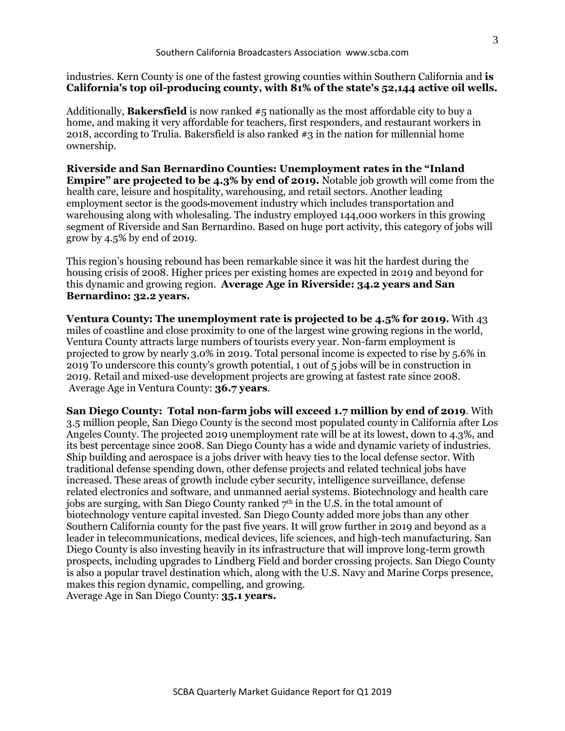industries. Kern County is one of the fastest growing counties within Southern California and **is California's top oil-producing county, with 81% of the state's 52,144 active oil wells.**

Additionally, **Bakersfield** is now ranked #5 nationally as the most affordable city to buy a home, and making it very affordable for teachers, first responders, and restaurant workers in 2018, according to Trulia. Bakersfield is also ranked  $\#3$  in the nation for millennial home ownership.

**Riverside and San Bernardino Counties: Unemployment rates in the "Inland Empire" are projected to be 4.3% by end of 2019.** Notable job growth will come from the health care, leisure and hospitality, warehousing, and retail sectors. Another leading employment sector is the goods movement industry which includes transportation and warehousing along with wholesaling. The industry employed 144,000 workers in this growing segment of Riverside and San Bernardino. Based on huge port activity, this category of jobs will grow by 4.5% by end of 2019.

This region's housing rebound has been remarkable since it was hit the hardest during the housing crisis of 2008. Higher prices per existing homes are expected in 2019 and beyond for this dynamic and growing region. **Average Age in Riverside: 34.2 years and San Bernardino: 32.2 years.**

**Ventura County: The unemployment rate is projected to be 4.5% for 2019.** With 43 miles of coastline and close proximity to one of the largest wine growing regions in the world, Ventura County attracts large numbers of tourists every year. Non-farm employment is projected to grow by nearly 3.0% in 2019. Total personal income is expected to rise by 5.6% in 2019 To underscore this county's growth potential, 1 out of 5 jobs will be in construction in 2019. Retail and mixed-use development projects are growing at fastest rate since 2008. Average Age in Ventura County: **36.7 years**.

**San Diego County: Total non-farm jobs will exceed 1.7 million by end of 2019**. With 3.5 million people, San Diego County is the second most populated county in California after Los Angeles County. The projected 2019 unemployment rate will be at its lowest, down to 4.3%, and its best percentage since 2008. San Diego County has a wide and dynamic variety of industries. Ship building and aerospace is a jobs driver with heavy ties to the local defense sector. With traditional defense spending down, other defense projects and related technical jobs have increased. These areas of growth include cyber security, intelligence surveillance, defense related electronics and software, and unmanned aerial systems. Biotechnology and health care jobs are surging, with San Diego County ranked  $7<sup>th</sup>$  in the U.S. in the total amount of biotechnology venture capital invested. San Diego County added more jobs than any other Southern California county for the past five years. It will grow further in 2019 and beyond as a leader in telecommunications, medical devices, life sciences, and high-tech manufacturing. San Diego County is also investing heavily in its infrastructure that will improve long-term growth prospects, including upgrades to Lindberg Field and border crossing projects. San Diego County is also a popular travel destination which, along with the U.S. Navy and Marine Corps presence, makes this region dynamic, compelling, and growing. Average Age in San Diego County: **35.1 years.**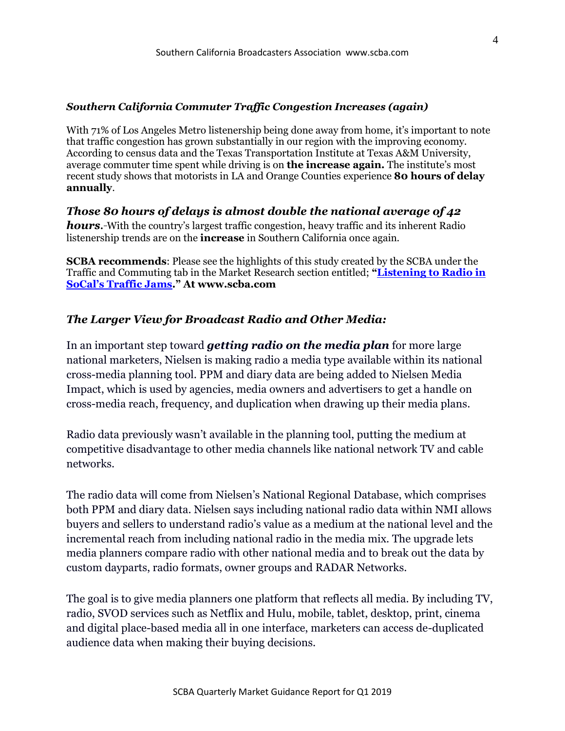#### *Southern California Commuter Traffic Congestion Increases (again)*

With 71% of Los Angeles Metro listenership being done away from home, it's important to note that traffic congestion has grown substantially in our region with the improving economy. According to census data and the Texas Transportation Institute at Texas A&M University, average commuter time spent while driving is on **the increase again.** The institute's most recent study shows that motorists in LA and Orange Counties experience **80 hours of delay annually**.

*Those 80 hours of delays is almost double the national average of 42 hours.* With the country's largest traffic congestion, heavy traffic and its inherent Radio listenership trends are on the **increase** in Southern California once again.

**SCBA recommends**: Please see the highlights of this study created by the SCBA under the Traffic and Commuting tab in the Market Research section entitled; **"[Listening to Radio in](http://www.scba.com/assets/pdf/Listening%20to%20Radio%20During%20SoCal)  [SoCal's Traffic Jams](http://www.scba.com/assets/pdf/Listening%20to%20Radio%20During%20SoCal)." At www.scba.com**

## *The Larger View for Broadcast Radio and Other Media:*

In an important step toward *getting radio on the media plan* for more large national marketers, Nielsen is making radio a media type available within its national cross-media planning tool. PPM and diary data are being added to Nielsen Media Impact, which is used by agencies, media owners and advertisers to get a handle on cross-media reach, frequency, and duplication when drawing up their media plans.

Radio data previously wasn't available in the planning tool, putting the medium at competitive disadvantage to other media channels like national network TV and cable networks.

The radio data will come from Nielsen's National Regional Database, which comprises both PPM and diary data. Nielsen says including national radio data within NMI allows buyers and sellers to understand radio's value as a medium at the national level and the incremental reach from including national radio in the media mix. The upgrade lets media planners compare radio with other national media and to break out the data by custom dayparts, radio formats, owner groups and RADAR Networks.

The goal is to give media planners one platform that reflects all media. By including TV, radio, SVOD services such as Netflix and Hulu, mobile, tablet, desktop, print, cinema and digital place-based media all in one interface, marketers can access de-duplicated audience data when making their buying decisions.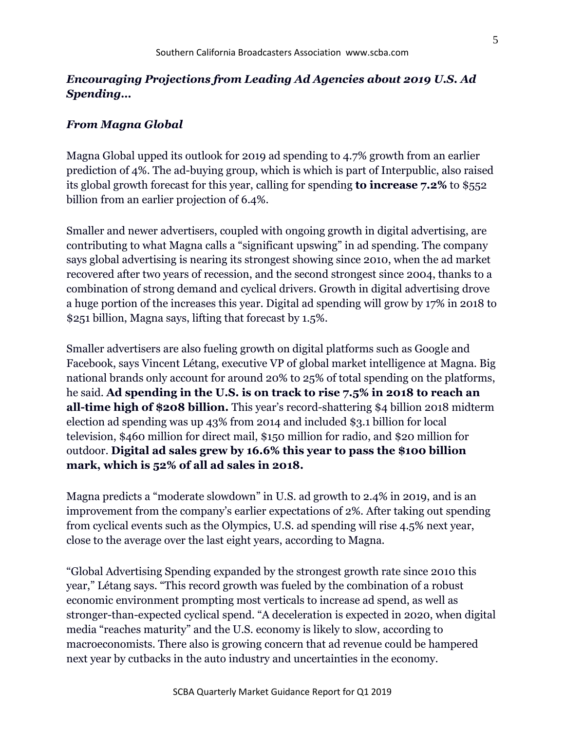# *Encouraging Projections from Leading Ad Agencies about 2019 U.S. Ad Spending…*

## *From Magna Global*

Magna Global upped its outlook for 2019 ad spending to 4.7% growth from an earlier prediction of 4%. The ad-buying group, which is which is part of Interpublic, also raised its global growth forecast for this year, calling for spending **to increase 7.2%** to \$552 billion from an earlier projection of 6.4%.

Smaller and newer advertisers, coupled with ongoing growth in digital advertising, are contributing to what Magna calls a "significant upswing" in ad spending. The company says global advertising is nearing its strongest showing since 2010, when the ad market recovered after two years of recession, and the second strongest since 2004, thanks to a combination of strong demand and cyclical drivers. Growth in digital advertising drove a huge portion of the increases this year. Digital ad spending will grow by 17% in 2018 to \$251 billion, Magna says, lifting that forecast by 1.5%.

Smaller advertisers are also fueling growth on digital platforms such as Google and Facebook, says Vincent Létang, executive VP of global market intelligence at Magna. Big national brands only account for around 20% to 25% of total spending on the platforms, he said. **Ad spending in the U.S. is on track to rise 7.5% in 2018 to reach an all-time high of \$208 billion.** This year's record-shattering \$4 billion 2018 midterm election ad spending was up 43% from 2014 and included \$3.1 billion for local television, \$460 million for direct mail, \$150 million for radio, and \$20 million for outdoor. **Digital ad sales grew by 16.6% this year to pass the \$100 billion mark, which is 52% of all ad sales in 2018.**

Magna predicts a "moderate slowdown" in U.S. ad growth to 2.4% in 2019, and is an improvement from the company's earlier expectations of 2%. After taking out spending from cyclical events such as the Olympics, U.S. ad spending will rise 4.5% next year, close to the average over the last eight years, according to Magna.

"Global Advertising Spending expanded by the strongest growth rate since 2010 this year," Létang says. "This record growth was fueled by the combination of a robust economic environment prompting most verticals to increase ad spend, as well as stronger-than-expected cyclical spend. "A deceleration is expected in 2020, when digital media "reaches maturity" and the U.S. economy is likely to slow, according to macroeconomists. There also is growing concern that ad revenue could be hampered next year by cutbacks in the auto industry and uncertainties in the economy.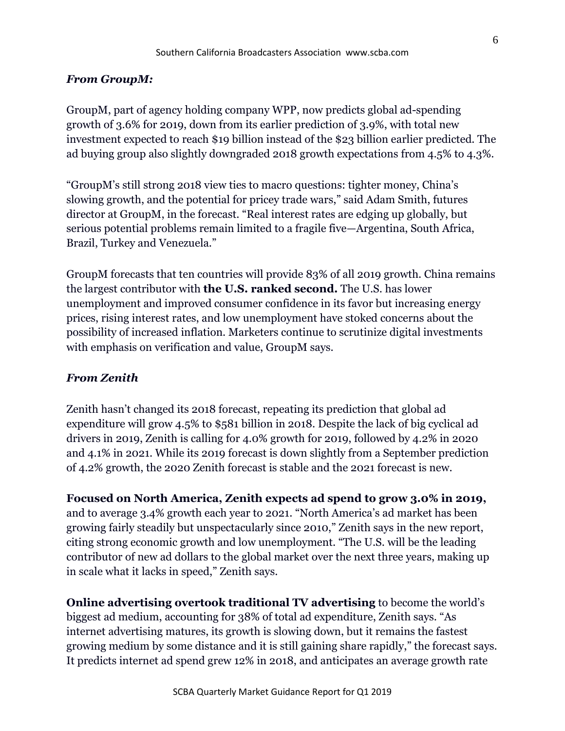## *From GroupM:*

GroupM, part of agency holding company WPP, now predicts global ad-spending growth of 3.6% for 2019, down from its earlier prediction of 3.9%, with total new investment expected to reach \$19 billion instead of the \$23 billion earlier predicted. The ad buying group also slightly downgraded 2018 growth expectations from 4.5% to 4.3%.

"GroupM's still strong 2018 view ties to macro questions: tighter money, China's slowing growth, and the potential for pricey trade wars," said Adam Smith, futures director at GroupM, in the forecast. "Real interest rates are edging up globally, but serious potential problems remain limited to a fragile five—Argentina, South Africa, Brazil, Turkey and Venezuela."

GroupM forecasts that ten countries will provide 83% of all 2019 growth. China remains the largest contributor with **the U.S. ranked second.** The U.S. has lower unemployment and improved consumer confidence in its favor but increasing energy prices, rising interest rates, and low unemployment have stoked concerns about the possibility of increased inflation. Marketers continue to scrutinize digital investments with emphasis on verification and value, GroupM says.

#### *From Zenith*

Zenith hasn't changed its 2018 forecast, repeating its prediction that global ad expenditure will grow 4.5% to \$581 billion in 2018. Despite the lack of big cyclical ad drivers in 2019, Zenith is calling for 4.0% growth for 2019, followed by 4.2% in 2020 and 4.1% in 2021. While its 2019 forecast is down slightly from a September prediction of 4.2% growth, the 2020 Zenith forecast is stable and the 2021 forecast is new.

**Focused on North America, Zenith expects ad spend to grow 3.0% in 2019,** and to average 3.4% growth each year to 2021. "North America's ad market has been growing fairly steadily but unspectacularly since 2010," Zenith says in the new report, citing strong economic growth and low unemployment. "The U.S. will be the leading contributor of new ad dollars to the global market over the next three years, making up in scale what it lacks in speed," Zenith says.

**Online advertising overtook traditional TV advertising** to become the world's biggest ad medium, accounting for 38% of total ad expenditure, Zenith says. "As internet advertising matures, its growth is slowing down, but it remains the fastest growing medium by some distance and it is still gaining share rapidly," the forecast says. It predicts internet ad spend grew 12% in 2018, and anticipates an average growth rate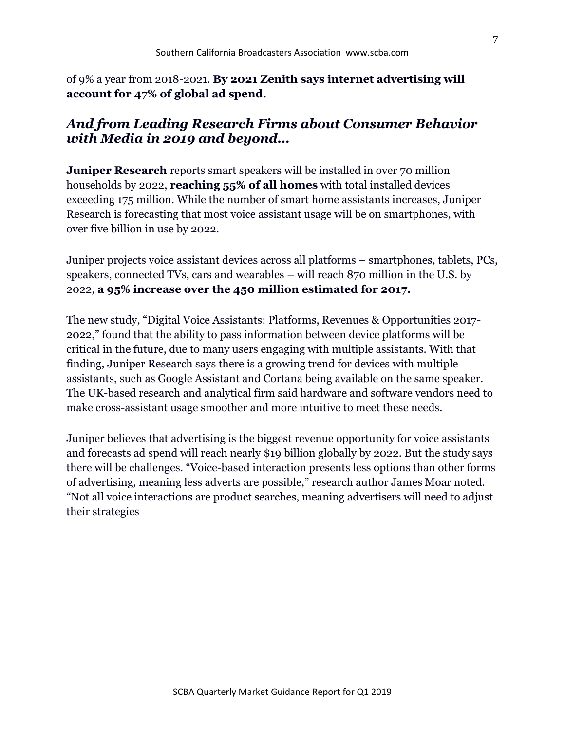of 9% a year from 2018-2021. **By 2021 Zenith says internet advertising will account for 47% of global ad spend.**

# *And from Leading Research Firms about Consumer Behavior with Media in 2019 and beyond…*

**Juniper Research** reports smart speakers will be installed in over 70 million households by 2022, **reaching 55% of all homes** with total installed devices exceeding 175 million. While the number of smart home assistants increases, Juniper Research is forecasting that most voice assistant usage will be on smartphones, with over five billion in use by 2022.

Juniper projects voice assistant devices across all platforms – smartphones, tablets, PCs, speakers, connected TVs, cars and wearables – will reach 870 million in the U.S. by 2022, **a 95% increase over the 450 million estimated for 2017.**

The new study, "Digital Voice Assistants: Platforms, Revenues & Opportunities 2017- 2022," found that the ability to pass information between device platforms will be critical in the future, due to many users engaging with multiple assistants. With that finding, Juniper Research says there is a growing trend for devices with multiple assistants, such as Google Assistant and Cortana being available on the same speaker. The UK-based research and analytical firm said hardware and software vendors need to make cross-assistant usage smoother and more intuitive to meet these needs.

Juniper believes that advertising is the biggest revenue opportunity for voice assistants and forecasts ad spend will reach nearly \$19 billion globally by 2022. But the study says there will be challenges. "Voice-based interaction presents less options than other forms of advertising, meaning less adverts are possible," research author James Moar noted. "Not all voice interactions are product searches, meaning advertisers will need to adjust their strategies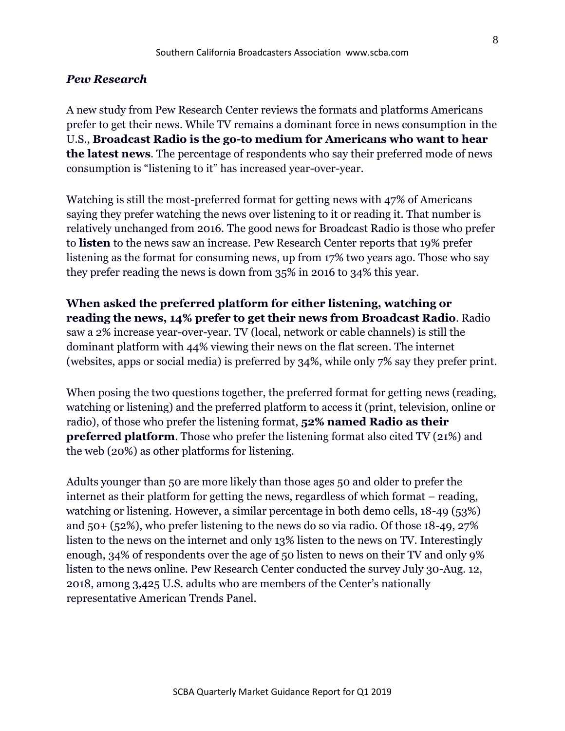#### *Pew Research*

A new study from Pew Research Center reviews the formats and platforms Americans prefer to get their news. While TV remains a dominant force in news consumption in the U.S., **Broadcast Radio is the go-to medium for Americans who want to hear the latest news**. The percentage of respondents who say their preferred mode of news consumption is "listening to it" has increased year-over-year.

Watching is still the most-preferred format for getting news with 47% of Americans saying they prefer watching the news over listening to it or reading it. That number is relatively unchanged from 2016. The good news for Broadcast Radio is those who prefer to **listen** to the news saw an increase. Pew Research Center reports that 19% prefer listening as the format for consuming news, up from 17% two years ago. Those who say they prefer reading the news is down from 35% in 2016 to 34% this year.

**When asked the preferred platform for either listening, watching or reading the news, 14% prefer to get their news from Broadcast Radio**. Radio saw a 2% increase year-over-year. TV (local, network or cable channels) is still the dominant platform with 44% viewing their news on the flat screen. The internet (websites, apps or social media) is preferred by 34%, while only 7% say they prefer print.

When posing the two questions together, the preferred format for getting news (reading, watching or listening) and the preferred platform to access it (print, television, online or radio), of those who prefer the listening format, **52% named Radio as their preferred platform**. Those who prefer the listening format also cited TV (21%) and the web (20%) as other platforms for listening.

Adults younger than 50 are more likely than those ages 50 and older to prefer the internet as their platform for getting the news, regardless of which format – reading, watching or listening. However, a similar percentage in both demo cells, 18-49 (53%) and 50+ (52%), who prefer listening to the news do so via radio. Of those 18-49, 27% listen to the news on the internet and only 13% listen to the news on TV. Interestingly enough, 34% of respondents over the age of 50 listen to news on their TV and only 9% listen to the news online. Pew Research Center conducted the survey July 30-Aug. 12, 2018, among 3,425 U.S. adults who are members of the Center's nationally representative American Trends Panel.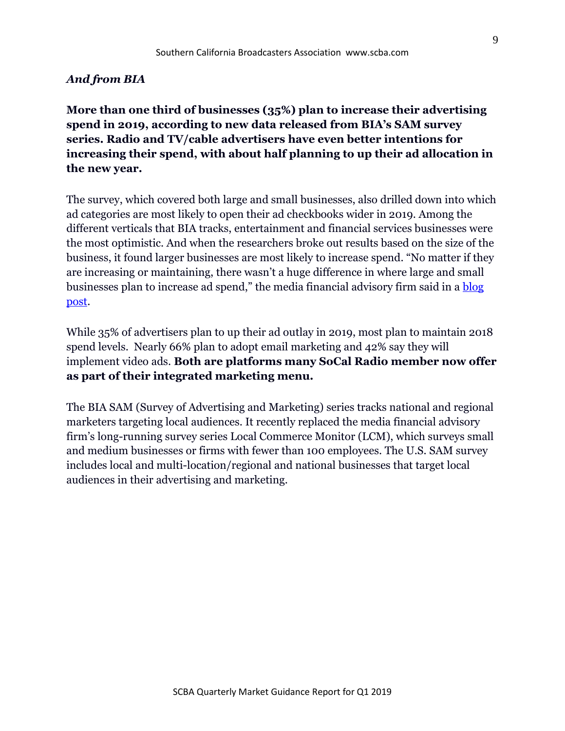#### *And from BIA*

**More than one third of businesses (35%) plan to increase their advertising spend in 2019, according to new data released from BIA's SAM survey series. Radio and TV/cable advertisers have even better intentions for increasing their spend, with about half planning to up their ad allocation in the new year.**

The survey, which covered both large and small businesses, also drilled down into which ad categories are most likely to open their ad checkbooks wider in 2019. Among the different verticals that BIA tracks, entertainment and financial services businesses were the most optimistic. And when the researchers broke out results based on the size of the business, it found larger businesses are most likely to increase spend. "No matter if they are increasing or maintaining, there wasn't a huge difference in where large and small businesses plan to increase ad spend," the media financial advisory firm said in a **blog** [post.](http://blog.biakelsey.com/index.php/2018/12/05/2019-advertising-plans-of-small-and-large-businesses/)

While 35% of advertisers plan to up their ad outlay in 2019, most plan to maintain 2018 spend levels. Nearly 66% plan to adopt email marketing and 42% say they will implement video ads. **Both are platforms many SoCal Radio member now offer as part of their integrated marketing menu.**

The BIA SAM (Survey of Advertising and Marketing) series tracks national and regional marketers targeting local audiences. It recently replaced the media financial advisory firm's long-running survey series Local Commerce Monitor (LCM), which surveys small and medium businesses or firms with fewer than 100 employees. The U.S. SAM survey includes local and multi-location/regional and national businesses that target local audiences in their advertising and marketing.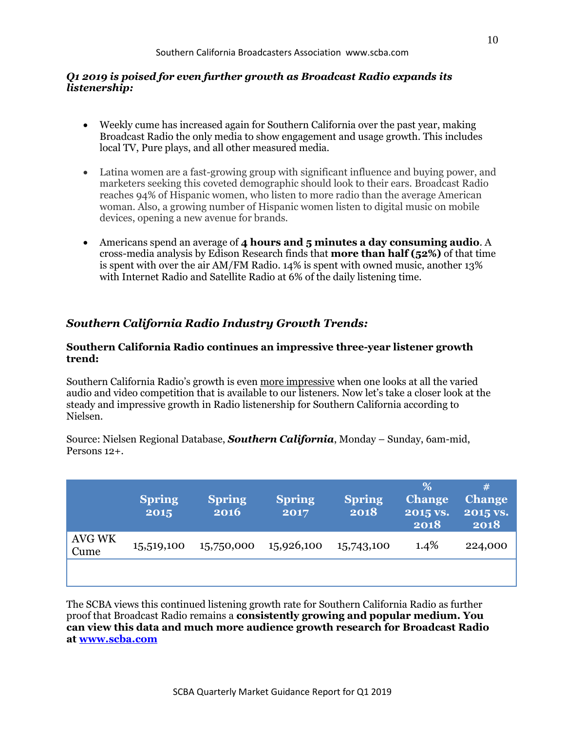#### *Q1 2019 is poised for even further growth as Broadcast Radio expands its listenership:*

- Weekly cume has increased again for Southern California over the past year, making Broadcast Radio the only media to show engagement and usage growth. This includes local TV, Pure plays, and all other measured media.
- Latina women are a fast-growing group with significant influence and buying power, and marketers seeking this coveted demographic should look to their ears. Broadcast Radio reaches 94% of Hispanic women, who listen to more radio than the average American woman. Also, a growing number of Hispanic women listen to digital music on mobile devices, opening a new avenue for brands.
- Americans spend an average of **4 hours and 5 minutes a day consuming audio**. A cross-media analysis by Edison Research finds that **more than half (52%)** of that time is spent with over the air AM/FM Radio. 14% is spent with owned music, another 13% with Internet Radio and Satellite Radio at 6% of the daily listening time.

# *Southern California Radio Industry Growth Trends:*

#### **Southern California Radio continues an impressive three-year listener growth trend:**

Southern California Radio's growth is even more impressive when one looks at all the varied audio and video competition that is available to our listeners. Now let's take a closer look at the steady and impressive growth in Radio listenership for Southern California according to Nielsen.

Source: Nielsen Regional Database, *Southern California*, Monday – Sunday, 6am-mid, Persons 12+.

|                       | <b>Spring</b><br>2015 | <b>Spring</b><br>2016 | <b>Spring</b><br>2017 | <b>Spring</b><br>2018 | %<br><b>Change</b><br>2015 vs.<br>2018 | #<br><b>Change</b><br>2015 vs.<br>2018 |
|-----------------------|-----------------------|-----------------------|-----------------------|-----------------------|----------------------------------------|----------------------------------------|
| <b>AVG WK</b><br>Cume | 15,519,100            | 15,750,000            | 15,926,100            | 15,743,100            | $1.4\%$                                | 224,000                                |
|                       |                       |                       |                       |                       |                                        |                                        |

The SCBA views this continued listening growth rate for Southern California Radio as further proof that Broadcast Radio remains a **consistently growing and popular medium. You can view this data and much more audience growth research for Broadcast Radio at [www.scba.com](http://www.scba.com/)**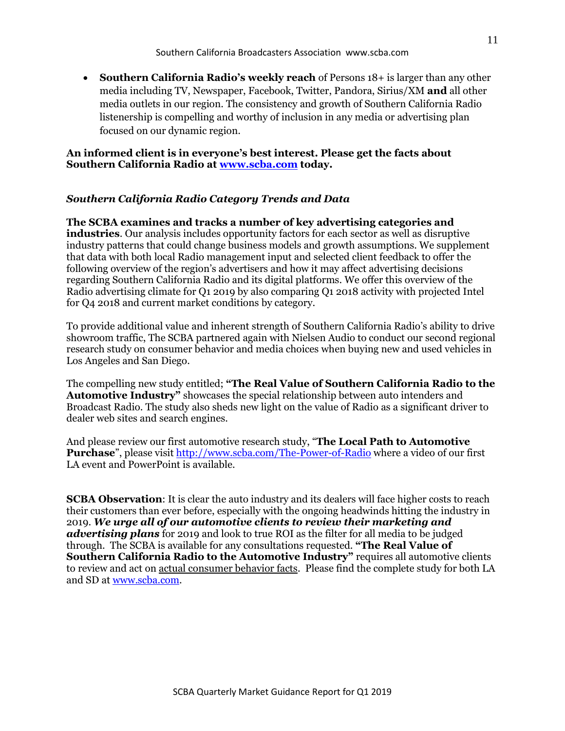• **Southern California Radio's weekly reach** of Persons 18+ is larger than any other media including TV, Newspaper, Facebook, Twitter, Pandora, Sirius/XM **and** all other media outlets in our region. The consistency and growth of Southern California Radio listenership is compelling and worthy of inclusion in any media or advertising plan focused on our dynamic region.

#### **An informed client is in everyone's best interest. Please get the facts about Southern California Radio at [www.scba.com](http://www.scba.com/) today.**

#### *Southern California Radio Category Trends and Data*

**The SCBA examines and tracks a number of key advertising categories and industries**. Our analysis includes opportunity factors for each sector as well as disruptive industry patterns that could change business models and growth assumptions. We supplement that data with both local Radio management input and selected client feedback to offer the following overview of the region's advertisers and how it may affect advertising decisions regarding Southern California Radio and its digital platforms. We offer this overview of the Radio advertising climate for Q1 2019 by also comparing Q1 2018 activity with projected Intel for Q4 2018 and current market conditions by category.

To provide additional value and inherent strength of Southern California Radio's ability to drive showroom traffic, The SCBA partnered again with Nielsen Audio to conduct our second regional research study on consumer behavior and media choices when buying new and used vehicles in Los Angeles and San Diego.

The compelling new study entitled; **"The Real Value of Southern California Radio to the Automotive Industry"** showcases the special relationship between auto intenders and Broadcast Radio. The study also sheds new light on the value of Radio as a significant driver to dealer web sites and search engines.

And please review our first automotive research study, "**The Local Path to Automotive Purchase**", please visit<http://www.scba.com/The-Power-of-Radio> where a video of our first LA event and PowerPoint is available.

**SCBA Observation:** It is clear the auto industry and its dealers will face higher costs to reach their customers than ever before, especially with the ongoing headwinds hitting the industry in 2019. *We urge all of our automotive clients to review their marketing and advertising plans* for 2019 and look to true ROI as the filter for all media to be judged through. The SCBA is available for any consultations requested. **"The Real Value of Southern California Radio to the Automotive Industry"** requires all automotive clients to review and act on actual consumer behavior facts. Please find the complete study for both LA and SD at [www.scba.com.](http://www.scba.com/)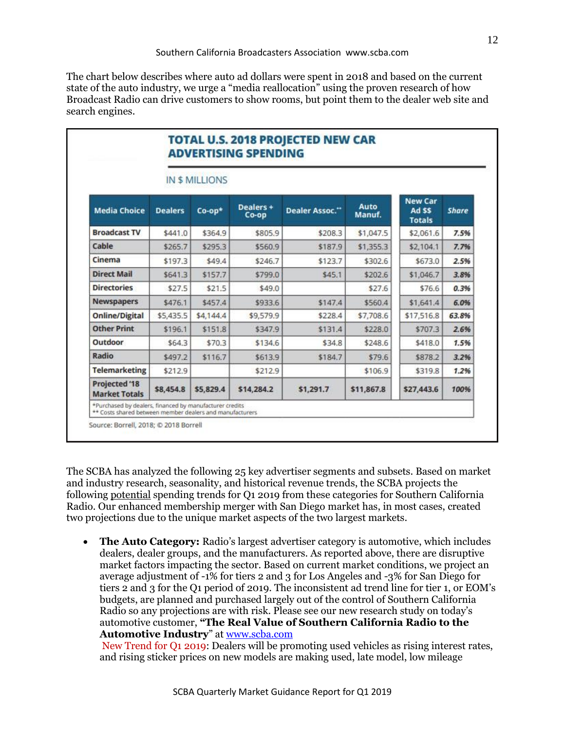The chart below describes where auto ad dollars were spent in 2018 and based on the current state of the auto industry, we urge a "media reallocation" using the proven research of how Broadcast Radio can drive customers to show rooms, but point them to the dealer web site and search engines.

|                                              | <b>IN \$ MILLIONS</b> |           |                      |                |                |                                          |              |  |  |
|----------------------------------------------|-----------------------|-----------|----------------------|----------------|----------------|------------------------------------------|--------------|--|--|
| <b>Media Choice</b>                          | <b>Dealers</b>        | $Co$ -op* | Dealers+<br>$Co$ -op | Dealer Assoc." | Auto<br>Manuf. | <b>New Car</b><br>Ad SS<br><b>Totals</b> | <b>Share</b> |  |  |
| <b>Broadcast TV</b>                          | \$441.0               | \$364.9   | \$805.9              | \$208.3        | \$1,047.5      | \$2,061.6                                | 7.5%         |  |  |
| Cable                                        | \$265.7               | \$295.3   | \$560.9              | \$187.9        | \$1,355.3      | \$2,104.1                                | 7.7%         |  |  |
| Cinema                                       | \$197.3               | \$49.4    | \$246.7              | \$123.7        | \$302.6        | \$673.0                                  | 2.5%         |  |  |
| <b>Direct Mail</b>                           | \$641.3               | \$157.7   | \$799.0              | \$45.1         | \$202.6        | \$1,046.7                                | 3.8%         |  |  |
| <b>Directories</b>                           | \$27.5                | \$21.5    | \$49.0               |                | \$27.6         | \$76.6                                   | 0.3%         |  |  |
| <b>Newspapers</b>                            | \$476.1               | \$457.4   | \$933.6              | \$147.4        | \$560.4        | \$1,641.4                                | 6.0%         |  |  |
| <b>Online/Digital</b>                        | \$5,435.5             | \$4,144.4 | \$9,579.9            | \$228.4        | \$7,708.6      | \$17,516.8                               | 63.8%        |  |  |
| <b>Other Print</b>                           | \$196.1               | \$151.8   | \$347.9              | \$131.4        | \$228.0        | \$707.3                                  | 2.6%         |  |  |
| Outdoor                                      | \$64.3                | \$70.3    | \$134.6              | \$34.8         | \$248.6        | \$418.0                                  | 1.5%         |  |  |
| Radio                                        | \$497.2               | \$116.7   | \$613.9              | \$184.7        | \$79.6         | \$878.2                                  | 3.2%         |  |  |
| <b>Telemarketing</b>                         | \$212.9               |           | \$212.9              |                | \$106.9        | \$319.8                                  | 1.2%         |  |  |
| <b>Projected '18</b><br><b>Market Totals</b> | \$8,454.8             | \$5,829.4 | \$14,284.2           | \$1,291.7      | \$11,867.8     | \$27,443.6                               | 100%         |  |  |

The SCBA has analyzed the following 25 key advertiser segments and subsets. Based on market and industry research, seasonality, and historical revenue trends, the SCBA projects the following potential spending trends for Q1 2019 from these categories for Southern California Radio. Our enhanced membership merger with San Diego market has, in most cases, created two projections due to the unique market aspects of the two largest markets.

• **The Auto Category:** Radio's largest advertiser category is automotive, which includes dealers, dealer groups, and the manufacturers. As reported above, there are disruptive market factors impacting the sector. Based on current market conditions, we project an average adjustment of -1% for tiers 2 and 3 for Los Angeles and -3% for San Diego for tiers 2 and 3 for the Q1 period of 2019. The inconsistent ad trend line for tier 1, or EOM's budgets, are planned and purchased largely out of the control of Southern California Radio so any projections are with risk. Please see our new research study on today's automotive customer, **"The Real Value of Southern California Radio to the Automotive Industry**" at [www.scba.com](http://www.scba.com/)

New Trend for Q1 2019: Dealers will be promoting used vehicles as rising interest rates, and rising sticker prices on new models are making used, late model, low mileage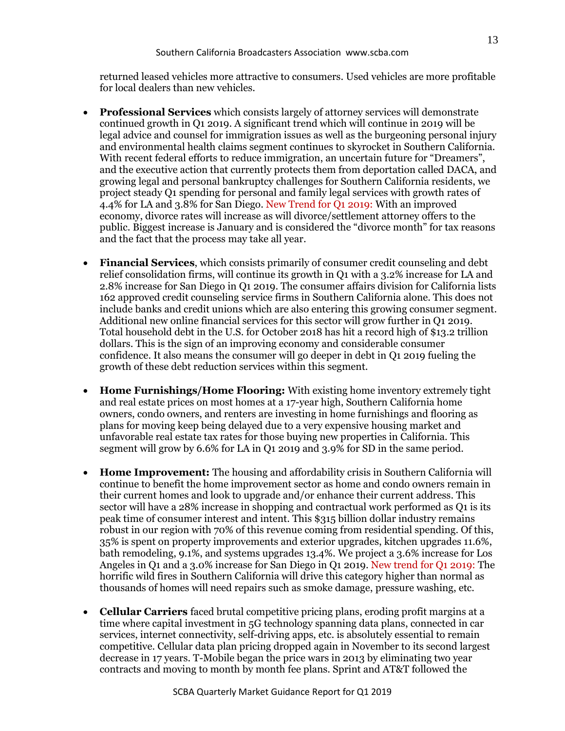returned leased vehicles more attractive to consumers. Used vehicles are more profitable for local dealers than new vehicles.

- **Professional Services** which consists largely of attorney services will demonstrate continued growth in Q1 2019. A significant trend which will continue in 2019 will be legal advice and counsel for immigration issues as well as the burgeoning personal injury and environmental health claims segment continues to skyrocket in Southern California. With recent federal efforts to reduce immigration, an uncertain future for "Dreamers", and the executive action that currently protects them from deportation called DACA, and growing legal and personal bankruptcy challenges for Southern California residents, we project steady Q1 spending for personal and family legal services with growth rates of 4.4% for LA and 3.8% for San Diego. New Trend for Q1 2019: With an improved economy, divorce rates will increase as will divorce/settlement attorney offers to the public. Biggest increase is January and is considered the "divorce month" for tax reasons and the fact that the process may take all year.
- **Financial Services**, which consists primarily of consumer credit counseling and debt relief consolidation firms, will continue its growth in Q1 with a 3.2% increase for LA and 2.8% increase for San Diego in Q1 2019. The consumer affairs division for California lists 162 approved credit counseling service firms in Southern California alone. This does not include banks and credit unions which are also entering this growing consumer segment. Additional new online financial services for this sector will grow further in Q1 2019. Total household debt in the U.S. for October 2018 has hit a record high of \$13.2 trillion dollars. This is the sign of an improving economy and considerable consumer confidence. It also means the consumer will go deeper in debt in Q1 2019 fueling the growth of these debt reduction services within this segment.
- **Home Furnishings/Home Flooring:** With existing home inventory extremely tight and real estate prices on most homes at a 17-year high, Southern California home owners, condo owners, and renters are investing in home furnishings and flooring as plans for moving keep being delayed due to a very expensive housing market and unfavorable real estate tax rates for those buying new properties in California. This segment will grow by 6.6% for LA in Q1 2019 and 3.9% for SD in the same period.
- **Home Improvement:** The housing and affordability crisis in Southern California will continue to benefit the home improvement sector as home and condo owners remain in their current homes and look to upgrade and/or enhance their current address. This sector will have a 28% increase in shopping and contractual work performed as Q1 is its peak time of consumer interest and intent. This \$315 billion dollar industry remains robust in our region with 70% of this revenue coming from residential spending. Of this, 35% is spent on property improvements and exterior upgrades, kitchen upgrades 11.6%, bath remodeling, 9.1%, and systems upgrades 13.4%. We project a 3.6% increase for Los Angeles in Q1 and a 3.0% increase for San Diego in Q1 2019. New trend for Q1 2019: The horrific wild fires in Southern California will drive this category higher than normal as thousands of homes will need repairs such as smoke damage, pressure washing, etc.
- **Cellular Carriers** faced brutal competitive pricing plans, eroding profit margins at a time where capital investment in 5G technology spanning data plans, connected in car services, internet connectivity, self-driving apps, etc. is absolutely essential to remain competitive. Cellular data plan pricing dropped again in November to its second largest decrease in 17 years. T-Mobile began the price wars in 2013 by eliminating two year contracts and moving to month by month fee plans. Sprint and AT&T followed the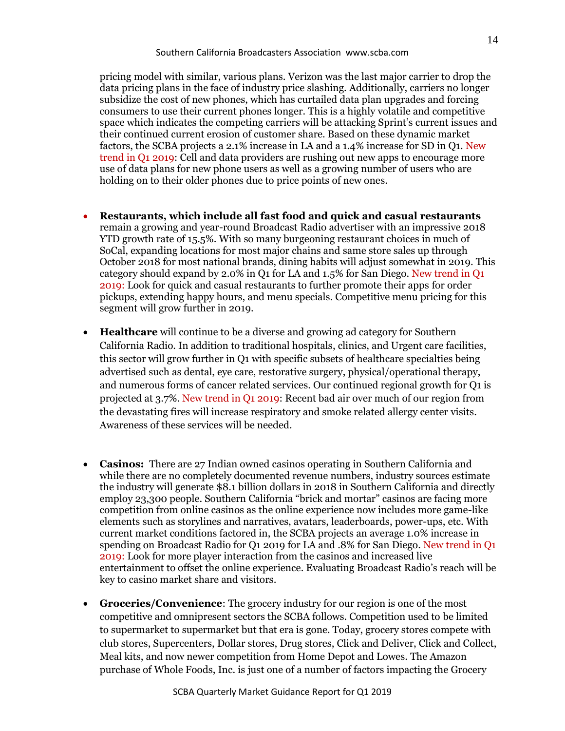pricing model with similar, various plans. Verizon was the last major carrier to drop the data pricing plans in the face of industry price slashing. Additionally, carriers no longer subsidize the cost of new phones, which has curtailed data plan upgrades and forcing consumers to use their current phones longer. This is a highly volatile and competitive space which indicates the competing carriers will be attacking Sprint's current issues and their continued current erosion of customer share. Based on these dynamic market factors, the SCBA projects a 2.1% increase in LA and a 1.4% increase for SD in Q1. New trend in Q1 2019: Cell and data providers are rushing out new apps to encourage more use of data plans for new phone users as well as a growing number of users who are holding on to their older phones due to price points of new ones.

- **Restaurants, which include all fast food and quick and casual restaurants** remain a growing and year-round Broadcast Radio advertiser with an impressive 2018 YTD growth rate of 15.5%. With so many burgeoning restaurant choices in much of SoCal, expanding locations for most major chains and same store sales up through October 2018 for most national brands, dining habits will adjust somewhat in 2019. This category should expand by 2.0% in Q1 for LA and 1.5% for San Diego. New trend in Q1 2019: Look for quick and casual restaurants to further promote their apps for order pickups, extending happy hours, and menu specials. Competitive menu pricing for this segment will grow further in 2019.
- **Healthcare** will continue to be a diverse and growing ad category for Southern California Radio. In addition to traditional hospitals, clinics, and Urgent care facilities, this sector will grow further in Q1 with specific subsets of healthcare specialties being advertised such as dental, eye care, restorative surgery, physical/operational therapy, and numerous forms of cancer related services. Our continued regional growth for Q1 is projected at 3.7%. New trend in Q1 2019: Recent bad air over much of our region from the devastating fires will increase respiratory and smoke related allergy center visits. Awareness of these services will be needed.
- **Casinos:** There are 27 Indian owned casinos operating in Southern California and while there are no completely documented revenue numbers, industry sources estimate the industry will generate \$8.1 billion dollars in 2018 in Southern California and directly employ 23,300 people. Southern California "brick and mortar" casinos are facing more competition from online casinos as the online experience now includes more game-like elements such as storylines and narratives, avatars, leaderboards, power-ups, etc. With current market conditions factored in, the SCBA projects an average 1.0% increase in spending on Broadcast Radio for Q1 2019 for LA and .8% for San Diego. New trend in Q1 2019: Look for more player interaction from the casinos and increased live entertainment to offset the online experience. Evaluating Broadcast Radio's reach will be key to casino market share and visitors.
- **Groceries/Convenience**: The grocery industry for our region is one of the most competitive and omnipresent sectors the SCBA follows. Competition used to be limited to supermarket to supermarket but that era is gone. Today, grocery stores compete with club stores, Supercenters, Dollar stores, Drug stores, Click and Deliver, Click and Collect, Meal kits, and now newer competition from Home Depot and Lowes. The Amazon purchase of Whole Foods, Inc. is just one of a number of factors impacting the Grocery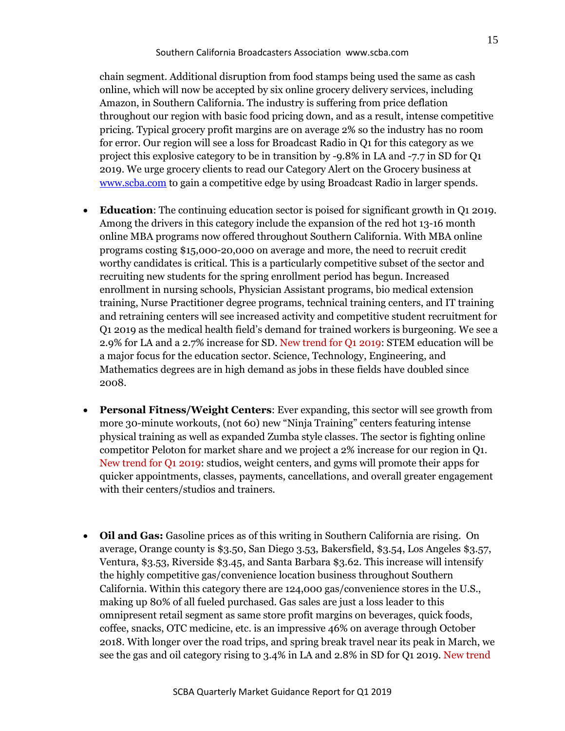chain segment. Additional disruption from food stamps being used the same as cash online, which will now be accepted by six online grocery delivery services, including Amazon, in Southern California. The industry is suffering from price deflation throughout our region with basic food pricing down, and as a result, intense competitive pricing. Typical grocery profit margins are on average 2% so the industry has no room for error. Our region will see a loss for Broadcast Radio in Q1 for this category as we project this explosive category to be in transition by -9.8% in LA and -7.7 in SD for Q1 2019. We urge grocery clients to read our Category Alert on the Grocery business at [www.scba.com](http://www.scba.com/) to gain a competitive edge by using Broadcast Radio in larger spends.

- **Education**: The continuing education sector is poised for significant growth in Q1 2019. Among the drivers in this category include the expansion of the red hot 13-16 month online MBA programs now offered throughout Southern California. With MBA online programs costing \$15,000-20,000 on average and more, the need to recruit credit worthy candidates is critical. This is a particularly competitive subset of the sector and recruiting new students for the spring enrollment period has begun. Increased enrollment in nursing schools, Physician Assistant programs, bio medical extension training, Nurse Practitioner degree programs, technical training centers, and IT training and retraining centers will see increased activity and competitive student recruitment for Q1 2019 as the medical health field's demand for trained workers is burgeoning. We see a 2.9% for LA and a 2.7% increase for SD. New trend for Q1 2019: STEM education will be a major focus for the education sector. Science, Technology, Engineering, and Mathematics degrees are in high demand as jobs in these fields have doubled since 2008.
- **Personal Fitness/Weight Centers**: Ever expanding, this sector will see growth from more 30-minute workouts, (not 60) new "Ninja Training" centers featuring intense physical training as well as expanded Zumba style classes. The sector is fighting online competitor Peloton for market share and we project a 2% increase for our region in Q1. New trend for Q1 2019: studios, weight centers, and gyms will promote their apps for quicker appointments, classes, payments, cancellations, and overall greater engagement with their centers/studios and trainers.
- **Oil and Gas:** Gasoline prices as of this writing in Southern California are rising. On average, Orange county is \$3.50, San Diego 3.53, Bakersfield, \$3.54, Los Angeles \$3.57, Ventura, \$3.53, Riverside \$3.45, and Santa Barbara \$3.62. This increase will intensify the highly competitive gas/convenience location business throughout Southern California. Within this category there are 124,000 gas/convenience stores in the U.S., making up 80% of all fueled purchased. Gas sales are just a loss leader to this omnipresent retail segment as same store profit margins on beverages, quick foods, coffee, snacks, OTC medicine, etc. is an impressive 46% on average through October 2018. With longer over the road trips, and spring break travel near its peak in March, we see the gas and oil category rising to 3.4% in LA and 2.8% in SD for Q1 2019. New trend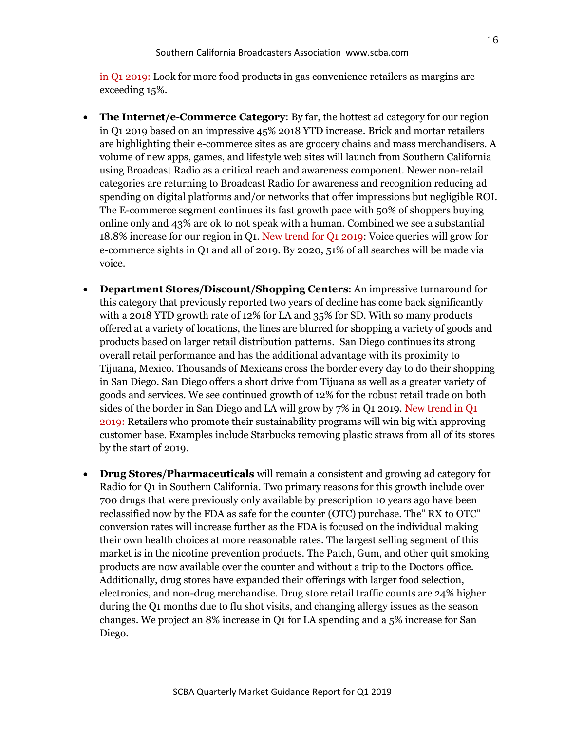in Q1 2019: Look for more food products in gas convenience retailers as margins are exceeding 15%.

- **The Internet/e-Commerce Category**: By far, the hottest ad category for our region in Q1 2019 based on an impressive 45% 2018 YTD increase. Brick and mortar retailers are highlighting their e-commerce sites as are grocery chains and mass merchandisers. A volume of new apps, games, and lifestyle web sites will launch from Southern California using Broadcast Radio as a critical reach and awareness component. Newer non-retail categories are returning to Broadcast Radio for awareness and recognition reducing ad spending on digital platforms and/or networks that offer impressions but negligible ROI. The E-commerce segment continues its fast growth pace with 50% of shoppers buying online only and 43% are ok to not speak with a human. Combined we see a substantial 18.8% increase for our region in Q1. New trend for Q1 2019: Voice queries will grow for e-commerce sights in Q1 and all of 2019. By 2020, 51% of all searches will be made via voice.
- **Department Stores/Discount/Shopping Centers**: An impressive turnaround for this category that previously reported two years of decline has come back significantly with a 2018 YTD growth rate of 12% for LA and 35% for SD. With so many products offered at a variety of locations, the lines are blurred for shopping a variety of goods and products based on larger retail distribution patterns. San Diego continues its strong overall retail performance and has the additional advantage with its proximity to Tijuana, Mexico. Thousands of Mexicans cross the border every day to do their shopping in San Diego. San Diego offers a short drive from Tijuana as well as a greater variety of goods and services. We see continued growth of 12% for the robust retail trade on both sides of the border in San Diego and LA will grow by 7% in Q1 2019. New trend in Q1 2019: Retailers who promote their sustainability programs will win big with approving customer base. Examples include Starbucks removing plastic straws from all of its stores by the start of 2019.
- **Drug Stores/Pharmaceuticals** will remain a consistent and growing ad category for Radio for Q1 in Southern California. Two primary reasons for this growth include over 700 drugs that were previously only available by prescription 10 years ago have been reclassified now by the FDA as safe for the counter (OTC) purchase. The" RX to OTC" conversion rates will increase further as the FDA is focused on the individual making their own health choices at more reasonable rates. The largest selling segment of this market is in the nicotine prevention products. The Patch, Gum, and other quit smoking products are now available over the counter and without a trip to the Doctors office. Additionally, drug stores have expanded their offerings with larger food selection, electronics, and non-drug merchandise. Drug store retail traffic counts are 24% higher during the Q1 months due to flu shot visits, and changing allergy issues as the season changes. We project an 8% increase in Q1 for LA spending and a 5% increase for San Diego.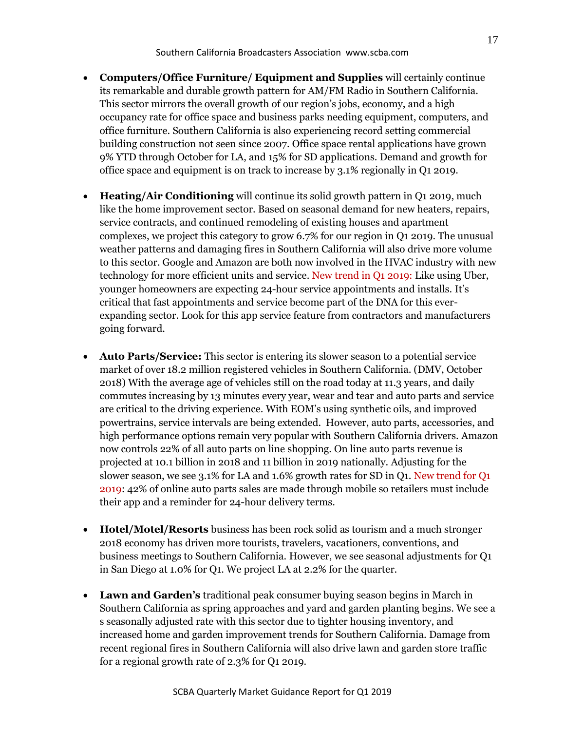- **Computers/Office Furniture/ Equipment and Supplies** will certainly continue its remarkable and durable growth pattern for AM/FM Radio in Southern California. This sector mirrors the overall growth of our region's jobs, economy, and a high occupancy rate for office space and business parks needing equipment, computers, and office furniture. Southern California is also experiencing record setting commercial building construction not seen since 2007. Office space rental applications have grown 9% YTD through October for LA, and 15% for SD applications. Demand and growth for office space and equipment is on track to increase by 3.1% regionally in Q1 2019.
- **Heating/Air Conditioning** will continue its solid growth pattern in Q1 2019, much like the home improvement sector. Based on seasonal demand for new heaters, repairs, service contracts, and continued remodeling of existing houses and apartment complexes, we project this category to grow 6.7% for our region in Q1 2019. The unusual weather patterns and damaging fires in Southern California will also drive more volume to this sector. Google and Amazon are both now involved in the HVAC industry with new technology for more efficient units and service. New trend in Q1 2019: Like using Uber, younger homeowners are expecting 24-hour service appointments and installs. It's critical that fast appointments and service become part of the DNA for this everexpanding sector. Look for this app service feature from contractors and manufacturers going forward.
- **Auto Parts/Service:** This sector is entering its slower season to a potential service market of over 18.2 million registered vehicles in Southern California. (DMV, October 2018) With the average age of vehicles still on the road today at 11.3 years, and daily commutes increasing by 13 minutes every year, wear and tear and auto parts and service are critical to the driving experience. With EOM's using synthetic oils, and improved powertrains, service intervals are being extended. However, auto parts, accessories, and high performance options remain very popular with Southern California drivers. Amazon now controls 22% of all auto parts on line shopping. On line auto parts revenue is projected at 10.1 billion in 2018 and 11 billion in 2019 nationally. Adjusting for the slower season, we see 3.1% for LA and 1.6% growth rates for SD in Q1. New trend for Q1 2019: 42% of online auto parts sales are made through mobile so retailers must include their app and a reminder for 24-hour delivery terms.
- **Hotel/Motel/Resorts** business has been rock solid as tourism and a much stronger 2018 economy has driven more tourists, travelers, vacationers, conventions, and business meetings to Southern California. However, we see seasonal adjustments for Q1 in San Diego at 1.0% for Q1. We project LA at 2.2% for the quarter.
- **Lawn and Garden's** traditional peak consumer buying season begins in March in Southern California as spring approaches and yard and garden planting begins. We see a s seasonally adjusted rate with this sector due to tighter housing inventory, and increased home and garden improvement trends for Southern California. Damage from recent regional fires in Southern California will also drive lawn and garden store traffic for a regional growth rate of 2.3% for Q1 2019.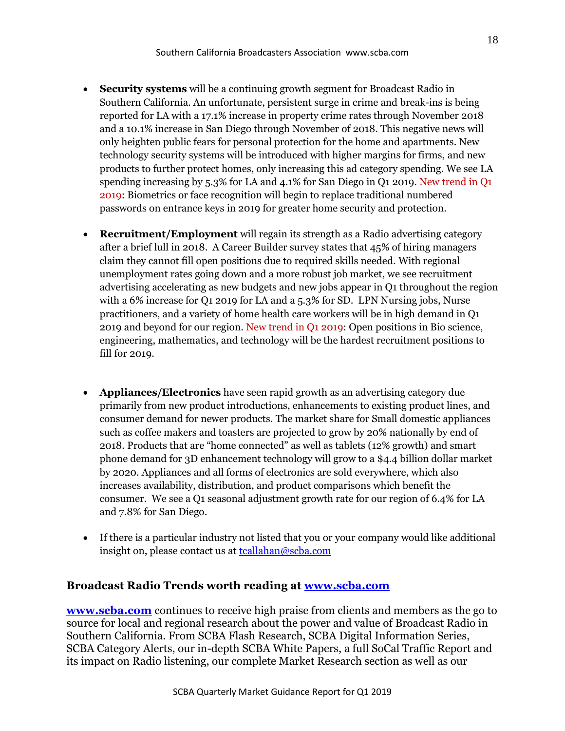- **Security systems** will be a continuing growth segment for Broadcast Radio in Southern California. An unfortunate, persistent surge in crime and break-ins is being reported for LA with a 17.1% increase in property crime rates through November 2018 and a 10.1% increase in San Diego through November of 2018. This negative news will only heighten public fears for personal protection for the home and apartments. New technology security systems will be introduced with higher margins for firms, and new products to further protect homes, only increasing this ad category spending. We see LA spending increasing by 5.3% for LA and 4.1% for San Diego in Q1 2019. New trend in Q1 2019: Biometrics or face recognition will begin to replace traditional numbered passwords on entrance keys in 2019 for greater home security and protection.
- **Recruitment/Employment** will regain its strength as a Radio advertising category after a brief lull in 2018. A Career Builder survey states that 45% of hiring managers claim they cannot fill open positions due to required skills needed. With regional unemployment rates going down and a more robust job market, we see recruitment advertising accelerating as new budgets and new jobs appear in Q1 throughout the region with a 6% increase for Q1 2019 for LA and a 5.3% for SD. LPN Nursing jobs, Nurse practitioners, and a variety of home health care workers will be in high demand in Q1 2019 and beyond for our region. New trend in Q1 2019: Open positions in Bio science, engineering, mathematics, and technology will be the hardest recruitment positions to fill for 2019.
- **Appliances/Electronics** have seen rapid growth as an advertising category due primarily from new product introductions, enhancements to existing product lines, and consumer demand for newer products. The market share for Small domestic appliances such as coffee makers and toasters are projected to grow by 20% nationally by end of 2018. Products that are "home connected" as well as tablets (12% growth) and smart phone demand for 3D enhancement technology will grow to a \$4.4 billion dollar market by 2020. Appliances and all forms of electronics are sold everywhere, which also increases availability, distribution, and product comparisons which benefit the consumer. We see a Q1 seasonal adjustment growth rate for our region of 6.4% for LA and 7.8% for San Diego.
- If there is a particular industry not listed that you or your company would like additional insight on, please contact us at [tcallahan@scba.com](mailto:tcallahan@scba.com)

# **Broadcast Radio Trends worth reading at [www.scba.com](http://www.scba.com/)**

**[www.scba.com](http://www.scba.com/)** continues to receive high praise from clients and members as the go to source for local and regional research about the power and value of Broadcast Radio in Southern California. From SCBA Flash Research, SCBA Digital Information Series, SCBA Category Alerts, our in-depth SCBA White Papers, a full SoCal Traffic Report and its impact on Radio listening, our complete Market Research section as well as our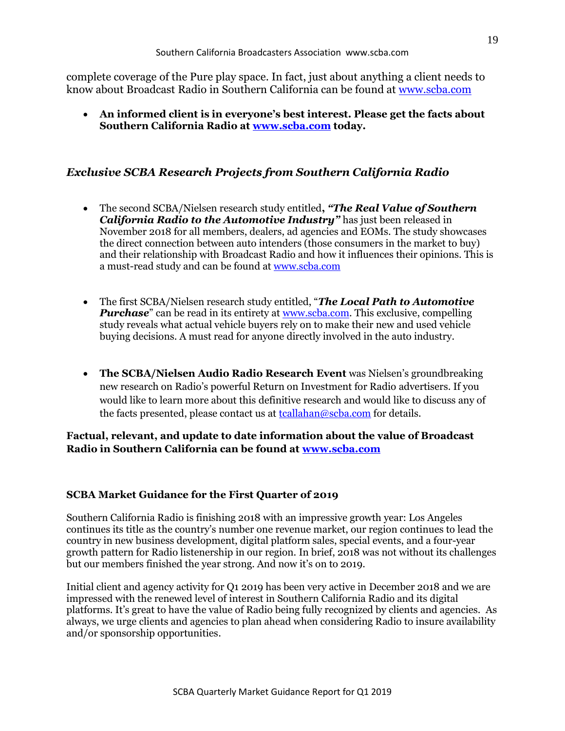complete coverage of the Pure play space. In fact, just about anything a client needs to know about Broadcast Radio in Southern California can be found at [www.scba.com](http://www.scba.com/)

• **An informed client is in everyone's best interest. Please get the facts about Southern California Radio at [www.scba.com](http://www.scba.com/) today.**

# *Exclusive SCBA Research Projects from Southern California Radio*

- The second SCBA/Nielsen research study entitled**,** *"The Real Value of Southern California Radio to the Automotive Industry"* has just been released in November 2018 for all members, dealers, ad agencies and EOMs. The study showcases the direct connection between auto intenders (those consumers in the market to buy) and their relationship with Broadcast Radio and how it influences their opinions. This is a must-read study and can be found a[t www.scba.com](http://www.scba.com/)
- The first SCBA/Nielsen research study entitled, "*The Local Path to Automotive Purchase*" can be read in its entirety at <u>www.scba.com</u>. This exclusive, compelling study reveals what actual vehicle buyers rely on to make their new and used vehicle buying decisions. A must read for anyone directly involved in the auto industry.
- **The SCBA/Nielsen Audio Radio Research Event** was Nielsen's groundbreaking new research on Radio's powerful Return on Investment for Radio advertisers. If you would like to learn more about this definitive research and would like to discuss any of the facts presented, please contact us at **tcallahan@scba.com** for details.

# **Factual, relevant, and update to date information about the value of Broadcast Radio in Southern California can be found at [www.scba.com](http://www.scba.com/)**

#### **SCBA Market Guidance for the First Quarter of 2019**

Southern California Radio is finishing 2018 with an impressive growth year: Los Angeles continues its title as the country's number one revenue market, our region continues to lead the country in new business development, digital platform sales, special events, and a four-year growth pattern for Radio listenership in our region. In brief, 2018 was not without its challenges but our members finished the year strong. And now it's on to 2019.

Initial client and agency activity for Q1 2019 has been very active in December 2018 and we are impressed with the renewed level of interest in Southern California Radio and its digital platforms. It's great to have the value of Radio being fully recognized by clients and agencies. As always, we urge clients and agencies to plan ahead when considering Radio to insure availability and/or sponsorship opportunities.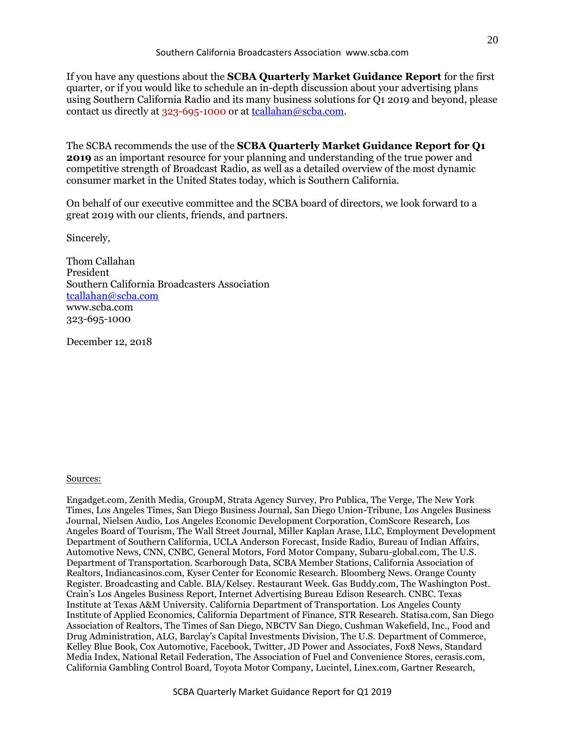If you have any questions about the **SCBA Quarterly Market Guidance Report** for the first quarter, or if you would like to schedule an in-depth discussion about your advertising plans using Southern California Radio and its many business solutions for Q1 2019 and beyond, please contact us directly at 323-695-1000 or at [tcallahan@scba.com.](mailto:tcallahan@scba.com)

The SCBA recommends the use of the **SCBA Quarterly Market Guidance Report for Q1 2019** as an important resource for your planning and understanding of the true power and competitive strength of Broadcast Radio, as well as a detailed overview of the most dynamic consumer market in the United States today, which is Southern California.

On behalf of our executive committee and the SCBA board of directors, we look forward to a great 2019 with our clients, friends, and partners.

Sincerely,

Thom Callahan President Southern California Broadcasters Association [tcallahan@scba.com](mailto:tcallahan@scba.com) www.scba.com 323-695-1000

December 12, 2018

#### Sources:

Engadget.com, Zenith Media, GroupM, Strata Agency Survey, Pro Publica, The Verge, The New York Times, Los Angeles Times, San Diego Business Journal, San Diego Union-Tribune, Los Angeles Business Journal, Nielsen Audio, Los Angeles Economic Development Corporation, ComScore Research, Los Angeles Board of Tourism, The Wall Street Journal, Miller Kaplan Arase, LLC, Employment Development Department of Southern California, UCLA Anderson Forecast, Inside Radio, Bureau of Indian Affairs, Automotive News, CNN, CNBC, General Motors, Ford Motor Company, Subaru-global.com, The U.S. Department of Transportation. Scarborough Data, SCBA Member Stations, California Association of Realtors, Indiancasinos.com, Kyser Center for Economic Research. Bloomberg News. Orange County Register. Broadcasting and Cable. BIA/Kelsey. Restaurant Week. Gas Buddy.com, The Washington Post. Crain's Los Angeles Business Report, Internet Advertising Bureau Edison Research. CNBC. Texas Institute at Texas A&M University. California Department of Transportation. Los Angeles County Institute of Applied Economics, California Department of Finance, STR Research. Statisa.com, San Diego Association of Realtors, The Times of San Diego, NBCTV San Diego, Cushman Wakefield, Inc., Food and Drug Administration, ALG, Barclay's Capital Investments Division, The U.S. Department of Commerce, Kelley Blue Book, Cox Automotive, Facebook, Twitter, JD Power and Associates, Fox8 News, Standard Media Index, National Retail Federation, The Association of Fuel and Convenience Stores, cerasis.com, California Gambling Control Board, Toyota Motor Company, Lucintel, Linex.com, Gartner Research,